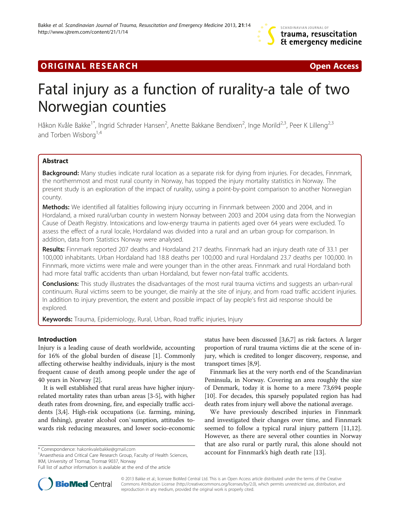## **ORIGINAL RESEARCH CONSUMING A RESEARCH CONSUMING A RESEARCH**

# Fatal injury as a function of rurality-a tale of two Norwegian counties

Håkon Kvåle Bakke<sup>1\*</sup>, Ingrid Schrøder Hansen<sup>2</sup>, Anette Bakkane Bendixen<sup>2</sup>, Inge Morild<sup>2,3</sup>, Peer K Lilleng<sup>2,3</sup> and Torben Wisborg<sup>1,4</sup>

## Abstract

Background: Many studies indicate rural location as a separate risk for dying from injuries. For decades, Finnmark, the northernmost and most rural county in Norway, has topped the injury mortality statistics in Norway. The present study is an exploration of the impact of rurality, using a point-by-point comparison to another Norwegian county.

Methods: We identified all fatalities following injury occurring in Finnmark between 2000 and 2004, and in Hordaland, a mixed rural/urban county in western Norway between 2003 and 2004 using data from the Norwegian Cause of Death Registry. Intoxications and low-energy trauma in patients aged over 64 years were excluded. To assess the effect of a rural locale, Hordaland was divided into a rural and an urban group for comparison. In addition, data from Statistics Norway were analysed.

Results: Finnmark reported 207 deaths and Hordaland 217 deaths. Finnmark had an injury death rate of 33.1 per 100,000 inhabitants. Urban Hordaland had 18.8 deaths per 100,000 and rural Hordaland 23.7 deaths per 100,000. In Finnmark, more victims were male and were younger than in the other areas. Finnmark and rural Hordaland both had more fatal traffic accidents than urban Hordaland, but fewer non-fatal traffic accidents.

**Conclusions:** This study illustrates the disadvantages of the most rural trauma victims and suggests an urban-rural continuum. Rural victims seem to be younger, die mainly at the site of injury, and from road traffic accident injuries. In addition to injury prevention, the extent and possible impact of lay people's first aid response should be explored.

Keywords: Trauma, Epidemiology, Rural, Urban, Road traffic injuries, Injury

## Introduction

Injury is a leading cause of death worldwide, accounting for 16% of the global burden of disease [[1\]](#page-6-0). Commonly affecting otherwise healthy individuals, injury is the most frequent cause of death among people under the age of 40 years in Norway [[2\]](#page-6-0).

It is well established that rural areas have higher injuryrelated mortality rates than urban areas [\[3-5](#page-6-0)], with higher death rates from drowning, fire, and especially traffic accidents [\[3,4\]](#page-6-0). High-risk occupations (i.e. farming, mining, and fishing), greater alcohol con`sumption, attitudes towards risk reducing measures, and lower socio-economic

<sup>1</sup> Anaesthesia and Critical Care Research Group, Faculty of Health Sciences, IKM, University of Tromsø, Tromsø 9037, Norway

status have been discussed [[3,6,7](#page-6-0)] as risk factors. A larger proportion of rural trauma victims die at the scene of injury, which is credited to longer discovery, response, and transport times [[8,9](#page-6-0)].

Finnmark lies at the very north end of the Scandinavian Peninsula, in Norway. Covering an area roughly the size of Denmark, today it is home to a mere 73,694 people [[10](#page-6-0)]. For decades, this sparsely populated region has had death rates from injury well above the national average.

We have previously described injuries in Finnmark and investigated their changes over time, and Finnmark seemed to follow a typical rural injury pattern [\[11,12](#page-6-0)]. However, as there are several other counties in Norway that are also rural or partly rural, this alone should not \* Correspondence: hakonkvalebakke@gmail.com account for Finnmark's high death rate [\[13](#page-6-0)].



© 2013 Bakke et al.; licensee BioMed Central Ltd. This is an Open Access article distributed under the terms of the Creative Commons Attribution License [\(http://creativecommons.org/licenses/by/2.0\)](http://creativecommons.org/licenses/by/2.0), which permits unrestricted use, distribution, and reproduction in any medium, provided the original work is properly cited.

Full list of author information is available at the end of the article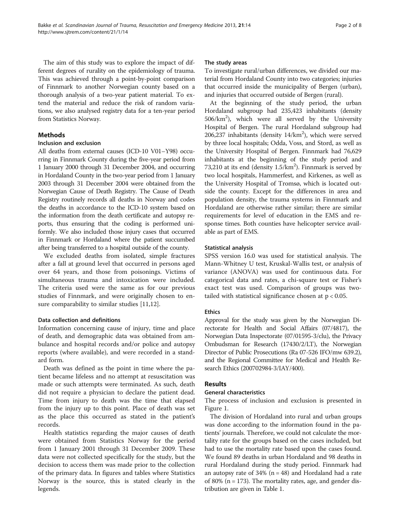The aim of this study was to explore the impact of different degrees of rurality on the epidemiology of trauma. This was achieved through a point-by-point comparison of Finnmark to another Norwegian county based on a thorough analysis of a two-year patient material. To extend the material and reduce the risk of random variations, we also analysed registry data for a ten-year period from Statistics Norway.

## **Methods**

## Inclusion and exclusion

All deaths from external causes (ICD-10 V01–Y98) occurring in Finnmark County during the five-year period from 1 January 2000 through 31 December 2004, and occurring in Hordaland County in the two-year period from 1 January 2003 through 31 December 2004 were obtained from the Norwegian Cause of Death Registry. The Cause of Death Registry routinely records all deaths in Norway and codes the deaths in accordance to the ICD-10 system based on the information from the death certificate and autopsy reports, thus ensuring that the coding is performed uniformly. We also included those injury cases that occurred in Finnmark or Hordaland where the patient succumbed after being transferred to a hospital outside of the county.

We excluded deaths from isolated, simple fractures after a fall at ground level that occurred in persons aged over 64 years, and those from poisonings. Victims of simultaneous trauma and intoxication were included. The criteria used were the same as for our previous studies of Finnmark, and were originally chosen to ensure comparability to similar studies [[11,12\]](#page-6-0).

#### Data collection and definitions

Information concerning cause of injury, time and place of death, and demographic data was obtained from ambulance and hospital records and/or police and autopsy reports (where available), and were recorded in a standard form.

Death was defined as the point in time where the patient became lifeless and no attempt at resuscitation was made or such attempts were terminated. As such, death did not require a physician to declare the patient dead. Time from injury to death was the time that elapsed from the injury up to this point. Place of death was set as the place this occurred as stated in the patient's records.

Health statistics regarding the major causes of death were obtained from Statistics Norway for the period from 1 January 2001 through 31 December 2009. These data were not collected specifically for the study, but the decision to access them was made prior to the collection of the primary data. In figures and tables where Statistics Norway is the source, this is stated clearly in the legends.

#### The study areas

To investigate rural/urban differences, we divided our material from Hordaland County into two categories; injuries that occurred inside the municipality of Bergen (urban), and injuries that occurred outside of Bergen (rural).

At the beginning of the study period, the urban Hordaland subgroup had 235,423 inhabitants (density 506/km<sup>2</sup>), which were all served by the University Hospital of Bergen. The rural Hordaland subgroup had  $206,237$  inhabitants (density  $14/km<sup>2</sup>$ ), which were served by three local hospitals; Odda, Voss, and Stord, as well as the University Hospital of Bergen. Finnmark had 76,629 inhabitants at the beginning of the study period and 73,210 at its end (density  $1.5/km^2$ ). Finnmark is served by two local hospitals, Hammerfest, and Kirkenes, as well as the University Hospital of Tromsø, which is located outside the county. Except for the differences in area and population density, the trauma systems in Finnmark and Hordaland are otherwise rather similar; there are similar requirements for level of education in the EMS and response times. Both counties have helicopter service available as part of EMS.

#### Statistical analysis

SPSS version 16.0 was used for statistical analysis. The Mann-Whitney U test, Kruskal-Wallis test, or analysis of variance (ANOVA) was used for continuous data. For categorical data and rates, a chi-square test or Fisher's exact test was used. Comparison of groups was twotailed with statistical significance chosen at  $p < 0.05$ .

#### Ethics

Approval for the study was given by the Norwegian Directorate for Health and Social Affairs (07/4817), the Norwegian Data Inspectorate (07/01595-3/clu), the Privacy Ombudsman for Research (17430/2/LT), the Norwegian Director of Public Prosecutions (Ra 07-526 IFO/mw 639.2), and the Regional Committee for Medical and Health Research Ethics (200702984-3/IAY/400).

### Results

#### General characteristics

The process of inclusion and exclusion is presented in Figure [1](#page-2-0).

The division of Hordaland into rural and urban groups was done according to the information found in the patients' journals. Therefore, we could not calculate the mortality rate for the groups based on the cases included, but had to use the mortality rate based upon the cases found. We found 89 deaths in urban Hordaland and 98 deaths in rural Hordaland during the study period. Finnmark had an autopsy rate of  $34\%$  (n = 48) and Hordaland had a rate of 80% ( $n = 173$ ). The mortality rates, age, and gender distribution are given in Table [1.](#page-2-0)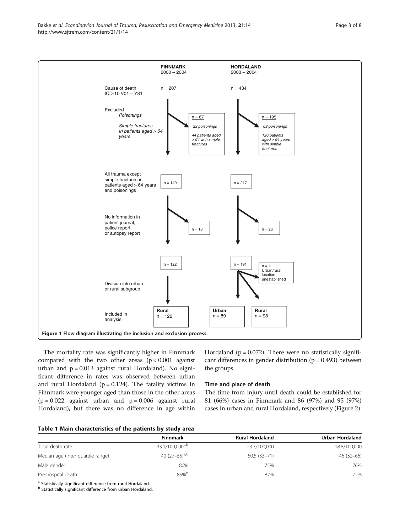<span id="page-2-0"></span>

The mortality rate was significantly higher in Finnmark compared with the two other areas  $(p < 0.001$  against urban and  $p = 0.013$  against rural Hordaland). No significant difference in rates was observed between urban and rural Hordaland ( $p = 0.124$ ). The fatality victims in Finnmark were younger aged than those in the other areas  $(p = 0.022$  against urban and  $p = 0.006$  against rural Hordaland), but there was no difference in age within Hordaland ( $p = 0.072$ ). There were no statistically significant differences in gender distribution ( $p = 0.493$ ) between the groups.

#### Time and place of death

The time from injury until death could be established for 81 (66%) cases in Finnmark and 86 (97%) and 95 (97%) cases in urban and rural Hordaland, respectively (Figure [2](#page-3-0)).

#### Table 1 Main characteristics of the patients by study area

|                                   | <b>Finnmark</b>             | <b>Rural Hordaland</b> | <b>Urban Hordaland</b> |
|-----------------------------------|-----------------------------|------------------------|------------------------|
| Total death rate                  | 33.1/100,000 <sup>a,b</sup> | 23.7/100,000           | 18.8/100,000           |
| Median age (inter quartile range) | 40 $(27-55)^{a,b}$          | $50.5(33 - 71)$        | $46(32-66)$            |
| Male gender                       | 80%                         | 75%                    | 76%                    |
| Pre-hospital death                | $85%^{b}$                   | 82%                    | 72%                    |

<sup>a</sup> Statistically significant difference from rural Hordaland.

**b** Statistically significant difference from urban Hordaland.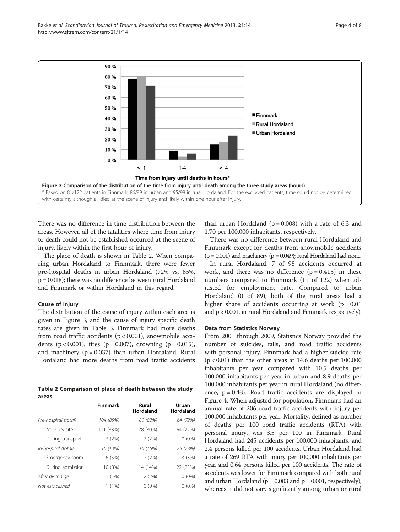<span id="page-3-0"></span>

There was no difference in time distribution between the areas. However, all of the fatalities where time from injury to death could not be established occurred at the scene of injury, likely within the first hour of injury.

The place of death is shown in Table 2. When comparing urban Hordaland to Finnmark, there were fewer pre-hospital deaths in urban Hordaland (72% vs. 85%, p = 0.018); there was no difference between rural Hordaland and Finnmark or within Hordaland in this regard.

#### Cause of injury

The distribution of the cause of injury within each area is given in Figure [3,](#page-4-0) and the cause of injury specific death rates are given in Table [3](#page-4-0). Finnmark had more deaths from road traffic accidents  $(p < 0.001)$ , snowmobile accidents ( $p < 0.001$ ), fires ( $p = 0.007$ ), drowning ( $p = 0.015$ ), and machinery ( $p = 0.037$ ) than urban Hordaland. Rural Hordaland had more deaths from road traffic accidents

Table 2 Comparison of place of death between the study areas

|                      | <b>Finnmark</b> | Rural<br>Hordaland | Urban<br>Hordaland |
|----------------------|-----------------|--------------------|--------------------|
| Pre-hospital (total) | 104 (85%)       | 80 (82%)           | 64 (72%)           |
| At injury site       | 101 (83%)       | 78 (80%)           | 64 (72%)           |
| During transport     | 3(2%)           | 2(2%)              | $0(0\%)$           |
| In-hospital (total)  | 16 (13%)        | 16 (16%)           | 25 (28%)           |
| Emergency room       | 6(5%)           | 2(2%)              | 3(3%)              |
| During admission     | 10 (8%)         | 14 (14%)           | 22 (25%)           |
| After discharge      | $1(1\%)$        | 2(2%)              | $0(0\%)$           |
| Not established      | $1(1\%)$        | $0(0\%)$           | $0(0\%)$           |

than urban Hordaland ( $p = 0.008$ ) with a rate of 6.3 and 1.70 per 100,000 inhabitants, respectively.

There was no difference between rural Hordaland and Finnmark except for deaths from snowmobile accidents  $(p = 0.001)$  and machinery  $(p = 0.049)$ ; rural Hordaland had none.

In rural Hordaland, 7 of 98 accidents occurred at work, and there was no difference  $(p = 0.415)$  in these numbers compared to Finnmark (11 of 122) when adjusted for employment rate. Compared to urban Hordaland (0 of 89), both of the rural areas had a higher share of accidents occurring at work  $(p = 0.01)$ and p < 0.001, in rural Hordaland and Finnmark respectively).

#### Data from Statistics Norway

From 2001 through 2009, Statistics Norway provided the number of suicides, falls, and road traffic accidents with personal injury. Finnmark had a higher suicide rate  $(p < 0.01)$  than the other areas at 14.6 deaths per 100,000 inhabitants per year compared with 10.5 deaths per 100,000 inhabitants per year in urban and 8.9 deaths per 100,000 inhabitants per year in rural Hordaland (no difference,  $p = 0.43$ ). Road traffic accidents are displayed in Figure [4.](#page-5-0) When adjusted for population, Finnmark had an annual rate of 206 road traffic accidents with injury per 100,000 inhabitants per year. Mortality, defined as number of deaths per 100 road traffic accidents (RTA) with personal injury, was 3.5 per 100 in Finnmark. Rural Hordaland had 245 accidents per 100,000 inhabitants, and 2.4 persons killed per 100 accidents. Urban Hordaland had a rate of 269 RTA with injury per 100,000 inhabitants per year, and 0.64 persons killed per 100 accidents. The rate of accidents was lower for Finnmark compared with both rural and urban Hordaland ( $p = 0.003$  and  $p = 0.001$ , respectively), whereas it did not vary significantly among urban or rural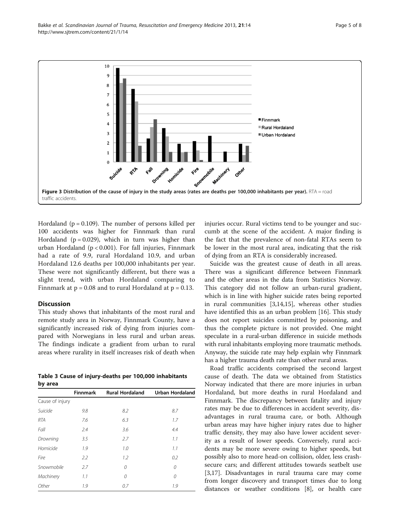<span id="page-4-0"></span>

Hordaland ( $p = 0.109$ ). The number of persons killed per 100 accidents was higher for Finnmark than rural Hordaland ( $p = 0.029$ ), which in turn was higher than urban Hordaland ( $p < 0.001$ ). For fall injuries, Finnmark had a rate of 9.9, rural Hordaland 10.9, and urban Hordaland 12.6 deaths per 100,000 inhabitants per year. These were not significantly different, but there was a slight trend, with urban Hordaland comparing to Finnmark at  $p = 0.08$  and to rural Hordaland at  $p = 0.13$ .

#### Discussion

This study shows that inhabitants of the most rural and remote study area in Norway, Finnmark County, have a significantly increased risk of dying from injuries compared with Norwegians in less rural and urban areas. The findings indicate a gradient from urban to rural areas where rurality in itself increases risk of death when

Table 3 Cause of injury-deaths per 100,000 inhabitants by area

|                 | <b>Finnmark</b> | <b>Rural Hordaland</b> | <b>Urban Hordaland</b> |
|-----------------|-----------------|------------------------|------------------------|
| Cause of injury |                 |                        |                        |
| Suicide         | 9.8             | 8.2                    | 8.7                    |
| <b>RTA</b>      | 7.6             | 6.3                    | 1.7                    |
| Fall            | 2.4             | 3.6                    | 4.4                    |
| Drowning        | 3.5             | 2.7                    | 1.1                    |
| Homicide        | 1.9             | 1.0                    | 1.1                    |
| Fire            | 2.2             | 1.2                    | 0.2                    |
| Snowmobile      | 2.7             | 0                      | 0                      |
| Machinery       | 1.1             | 0                      | 0                      |
| Other           | 1.9             | 0.7                    | 1.9                    |

injuries occur. Rural victims tend to be younger and succumb at the scene of the accident. A major finding is the fact that the prevalence of non-fatal RTAs seem to be lower in the most rural area, indicating that the risk of dying from an RTA is considerably increased.

Suicide was the greatest cause of death in all areas. There was a significant difference between Finnmark and the other areas in the data from Statistics Norway. This category did not follow an urban-rural gradient, which is in line with higher suicide rates being reported in rural communities [\[3,14,15\]](#page-6-0), whereas other studies have identified this as an urban problem [\[16](#page-6-0)]. This study does not report suicides committed by poisoning, and thus the complete picture is not provided. One might speculate in a rural-urban difference in suicide methods with rural inhabitants employing more traumatic methods. Anyway, the suicide rate may help explain why Finnmark has a higher trauma death rate than other rural areas.

Road traffic accidents comprised the second largest cause of death. The data we obtained from Statistics Norway indicated that there are more injuries in urban Hordaland, but more deaths in rural Hordaland and Finnmark. The discrepancy between fatality and injury rates may be due to differences in accident severity, disadvantages in rural trauma care, or both. Although urban areas may have higher injury rates due to higher traffic density, they may also have lower accident severity as a result of lower speeds. Conversely, rural accidents may be more severe owing to higher speeds, but possibly also to more head-on collision, older, less crashsecure cars; and different attitudes towards seatbelt use [[3,17\]](#page-6-0). Disadvantages in rural trauma care may come from longer discovery and transport times due to long distances or weather conditions [[8\]](#page-6-0), or health care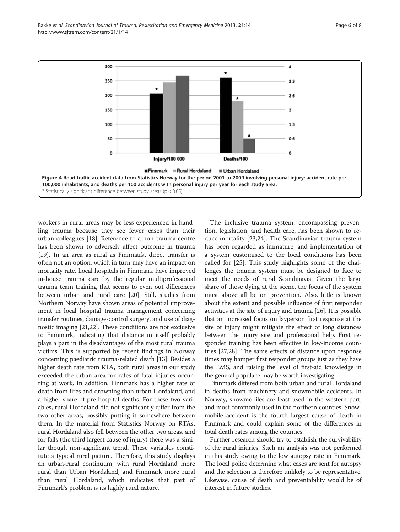<span id="page-5-0"></span>

workers in rural areas may be less experienced in handling trauma because they see fewer cases than their urban colleagues [\[18\]](#page-6-0). Reference to a non-trauma centre has been shown to adversely affect outcome in trauma [[19\]](#page-6-0). In an area as rural as Finnmark, direct transfer is often not an option, which in turn may have an impact on mortality rate. Local hospitals in Finnmark have improved in-house trauma care by the regular multiprofessional trauma team training that seems to even out differences between urban and rural care [[20](#page-6-0)]. Still, studies from Northern Norway have shown areas of potential improvement in local hospital trauma management concerning transfer routines, damage-control surgery, and use of diagnostic imaging [[21,22\]](#page-6-0). These conditions are not exclusive to Finnmark, indicating that distance in itself probably plays a part in the disadvantages of the most rural trauma victims. This is supported by recent findings in Norway concerning paediatric trauma-related death [\[13\]](#page-6-0). Besides a higher death rate from RTA, both rural areas in our study exceeded the urban area for rates of fatal injuries occurring at work. In addition, Finnmark has a higher rate of death from fires and drowning than urban Hordaland, and a higher share of pre-hospital deaths. For these two variables, rural Hordaland did not significantly differ from the two other areas, possibly putting it somewhere between them. In the material from Statistics Norway on RTAs, rural Hordaland also fell between the other two areas, and for falls (the third largest cause of injury) there was a similar though non-significant trend. These variables constitute a typical rural picture. Therefore, this study displays an urban-rural continuum, with rural Hordaland more rural than Urban Hordaland, and Finnmark more rural than rural Hordaland, which indicates that part of Finnmark's problem is its highly rural nature.

The inclusive trauma system, encompassing prevention, legislation, and health care, has been shown to reduce mortality [\[23,24\]](#page-6-0). The Scandinavian trauma system has been regarded as immature, and implementation of a system customised to the local conditions has been called for [\[25](#page-6-0)]. This study highlights some of the challenges the trauma system must be designed to face to meet the needs of rural Scandinavia. Given the large share of those dying at the scene, the focus of the system must above all be on prevention. Also, little is known about the extent and possible influence of first responder activities at the site of injury and trauma [[26](#page-6-0)]. It is possible that an increased focus on layperson first response at the site of injury might mitigate the effect of long distances between the injury site and professional help. First responder training has been effective in low-income countries [[27,28\]](#page-7-0). The same effects of distance upon response times may hamper first responder groups just as they have the EMS, and raising the level of first-aid knowledge in the general populace may be worth investigating.

Finnmark differed from both urban and rural Hordaland in deaths from machinery and snowmobile accidents. In Norway, snowmobiles are least used in the western part, and most commonly used in the northern counties. Snowmobile accident is the fourth largest cause of death in Finnmark and could explain some of the differences in total death rates among the counties.

Further research should try to establish the survivability of the rural injuries. Such an analysis was not performed in this study owing to the low autopsy rate in Finnmark. The local police determine what cases are sent for autopsy and the selection is therefore unlikely to be representative. Likewise, cause of death and preventability would be of interest in future studies.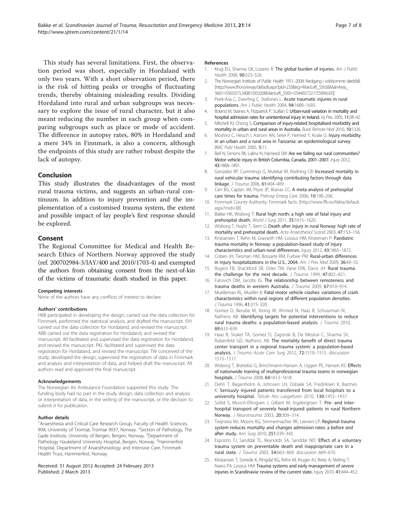<span id="page-6-0"></span>This study has several limitations. First, the observation period was short, especially in Hordaland with only two years. With a short observation period, there is the risk of hitting peaks or troughs of fluctuating trends, thereby obtaining misleading results. Dividing Hordaland into rural and urban subgroups was necessary to explore the issue of rural character, but it also meant reducing the number in each group when comparing subgroups such as place or mode of accident. The difference in autopsy rates, 80% in Hordaland and a mere 34% in Finnmark, is also a concern, although the endpoints of this study are rather robust despite the lack of autopsy.

#### Conclusion

This study illustrates the disadvantages of the most rural trauma victims, and suggests an urban-rural continuum. In addition to injury prevention and the implementation of a customised trauma system, the extent and possible impact of lay people's first response should be explored.

#### Consent

The Regional Committee for Medical and Health Research Ethics of Northern Norway approved the study (ref. 200702984-3/IAY/400 and 2010/1703-4) and exempted the authors from obtaining consent from the next-of-kin of the victims of traumatic death studied in this paper.

#### Competing interests

None of the authors have any conflicts of interest to declare.

#### Authors' contributions

HKB participated in developing the design, carried out the data collection for Finnmark, performed the statistical analysis, and drafted the manuscript. ISH carried out the data collection for Hordaland, and revised the manuscript. ABB carried out the data registration for Hordaland, and revised the manuscript. IM facilitated and supervised the data registration for Hordaland, and revised the manuscript. PKL facilitated and supervised the data registration for Hordaland, and revised the manuscript. TW conceived of the study, developed the design, supervised the registration of data in Finnmark and analysis and interpretation of data, and helped draft the manuscript. All authors read and approved the final manuscript.

#### Acknowledgements

The Norwegian Air Ambulance Foundation supported this study. The funding body had no part in the study design, data collection and analysis or interpretation of data, in the writing of the manuscript, or the decision to submit it for publication.

#### Author details

<sup>1</sup> Anaesthesia and Critical Care Research Group, Faculty of Health Sciences, IKM, University of Tromsø, Tromsø 9037, Norway. <sup>2</sup>Section of Pathology, The Gade Institute, University of Bergen, Bergen, Norway. <sup>3</sup>Department of Pathology Haukeland University Hospital, Bergen, Norway. <sup>4</sup>Hammerfest Hospital, Department of Anaesthesiology and Intensive Care, Finnmark Health Trust, Hammerfest, Norway.

Received: 31 August 2012 Accepted: 24 February 2013 Published: 2 March 2013

#### References

- 1. Krug EG, Sharma GK, Lozano R: The global burden of injuries. Am J Public Health 2000, 90:523–526.
- 2. The Norwegian Institute of Public Health 1951–2004: Nedgang i voldsomme dødsfall: [\[http://www.fhi.no/eway/default.aspx?pid=233&trg=MainLeft\\_5565&MainArea\\_](http://www.fhi.no/eway/default.aspx?pid=233&trg=MainLeft_5565&MainArea_5661=5565:0:15,3408:1:0:0:::0:0&MainLeft_5565=5544:65722::1:5569:6:::0:0) [5661=5565:0:15,3408:1:0:0:::0:0&MainLeft\\_5565=5544:65722::1:5569:6:::0:0\]](http://www.fhi.no/eway/default.aspx?pid=233&trg=MainLeft_5565&MainArea_5661=5565:0:15,3408:1:0:0:::0:0&MainLeft_5565=5544:65722::1:5569:6:::0:0)
- 3. Peek-Asa C, Zwerling C, Stallones L: Acute traumatic injuries in rural populations. Am J Public Health 2004, 94:1689–1693.
- 4. Boland M, Staines A, Fitzpatrick P, Scallan E: Urban-rural variation in mortality and hospital admission rates for unintentional injury in Ireland. Inj Prev 2005, 11:38–42.
- 5. Mitchell RJ, Chong S: Comparison of injury-related hospitalised morbidity and mortality in urban and rural areas in Australia. Rural Remote Heal 2010, 10:1326.
- 6. Moshiro C, Heuch I, Astrom AN, Setel P, Hemed Y, Kvale G: Injury morbidity in an urban and a rural area in Tanzania: an epidemiological survey. BMC Publ Health 2005, 5:11.
- 7. Bell N, Simons RK, Lakha N, Hameed SM: Are we failing our rural communities? Motor vehicle injury in British Columbia, Canada, 2001–2007. Injury 2012, 43:1888–1891.
- 8. Gonzalez RP, Cummings G, Mulekar M, Rodning CB: Increased mortality in rural vehicular trauma: identifying contributing factors through data linkage. J Trauma 2006, 61:404–409.
- 9. Carr BG, Caplan JM, Pryor JP, Branas CC: A meta-analysis of prehospital care times for trauma. Prehosp Emerg Care 2006, 10:198–206.
- 10. Finnmark County Authority: Finnmark facts: [\[http://www.ffk.no/fakta/default.](http://www.ffk.no/fakta/default.aspx?mid=38) [aspx?mid=38](http://www.ffk.no/fakta/default.aspx?mid=38)]
- 11. Bakke HK, Wisborg T: Rural high north: a high rate of fatal injury and prehospital death. World J Surg 2011, 35:1615–1620.
- 12. Wisborg T, Hoylo T, Siem G: Death after injury in rural Norway: high rate of mortality and prehospital death. Acta Anaesthesiol Scand 2003, 47:153–156.
- 13. Kristiansen T, Rehn M, Gravseth HM, Lossius HM, Kristensen P: Paediatric trauma mortality in Norway: a population-based study of injury characteristics and urban-rural differences. Injury 2012, 43:1865–1872.
- 14. Coben JH, Tiesman HM, Bossarte RM, Furbee PM: Rural-urban differences in injury hospitalizations in the U.S., 2004. Am J Prev Med 2009, 36:49-55.
- 15. Rogers FB, Shackford SR, Osler TM, Vane DW, Davis JH: Rural trauma: the challenge for the next decade. J Trauma 1999, 47:802-821.
- Fatovich DM, Jacobs IG: The relationship between remoteness and trauma deaths in western Australia. J Trauma 2009, 67:910-914.
- 17. Muelleman RL, Mueller K: Fatal motor vehicle crashes: variations of crash characteristics within rural regions of different population densities. J Trauma 1996, 41:315–320.
- 18. Gomez D, Berube M, Xiong W, Ahmed N, Haas B, Schuurman N, Nathens AB: Identifying targets for potential interventions to reduce rural trauma deaths: a population-based analysis. J Trauma 2010, 69:633–639.
- 19. Haas B, Stukel TA, Gomez D, Zagorski B, De Mestral C, Sharma SV, Rubenfeld GD, Nathens AB: The mortality benefit of direct trauma center transport in a regional trauma system: a population-based analysis. J Trauma Acute Care Surg 2012, 72:1510–1515. discussion 1515–1517.
- 20. Wisborg T, Brattebo G, Brinchmann-Hansen A, Uggen PE, Hansen KS: Effects of nationwide training of multiprofessional trauma teams in norwegian hospitals. J Trauma 2008, 64:1613–1618.
- 21. Dehli T, Bagenholm A, Johnsen LH, Osbakk SA, Fredriksen K, Bartnes K: Seriously injured patients transferred from local hospitals to a university hospital. Tidsskr Nor Laegeforen 2010, 130:1455–1457.
- 22. Sollid S, Munch-Ellingsen J, Gilbert M, Ingebrigtsen T: Pre- and interhospital transport of severely head-injured patients in rural Northern Norway. J Neurotrauma 2003, 20:309–314.
- 23. Twijnstra MJ, Moons KG, Simmermacher RK, Leenen LP: Regional trauma system reduces mortality and changes admission rates: a before and after study. Ann Surg 2010, 251:339–343.
- 24. Esposito TJ, Sanddal TL, Reynolds SA, Sanddal ND: Effect of a voluntary trauma system on preventable death and inappropriate care in a rural state. J Trauma 2003, 54:663–669. discussion 669–670.
- 25. Kristiansen T, Soreide K, Ringdal KG, Rehn M, Kruger AJ, Reite A, Meling T, Naess PA, Lossius HM: Trauma systems and early management of severe injuries in Scandinavia: review of the current state. Injury 2010, 41:444-452.